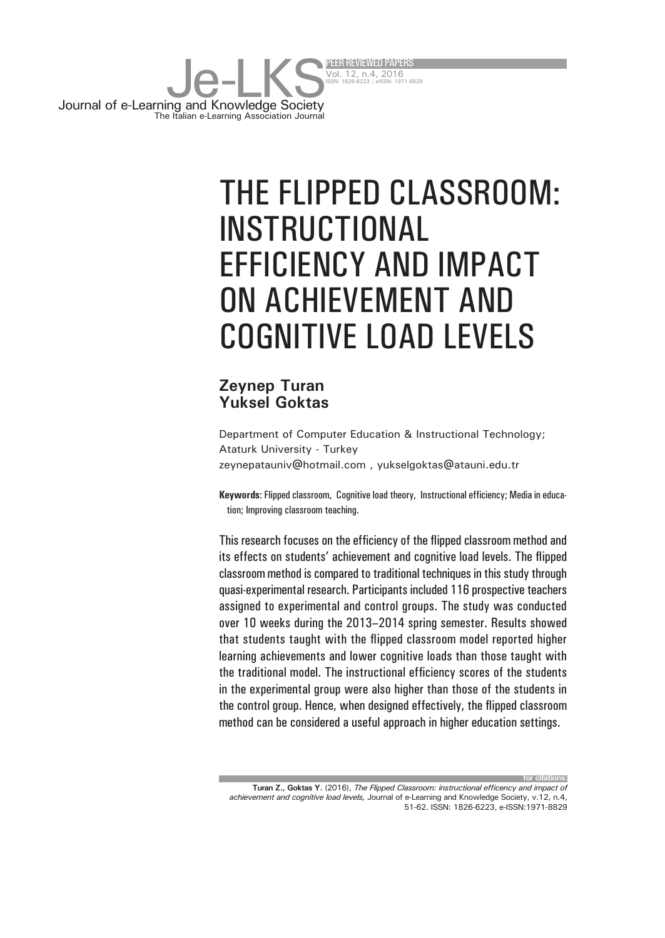

# THE FLIPPED CLASSROOM: INSTRUCTIONAL EFFICIENCY AND IMPACT ON ACHIEVEMENT AND COGNITIVE LOAD LEVELS

#### **Zeynep Turan Yuksel Goktas**

Department of Computer Education & Instructional Technology; Ataturk University - Turkey zeynepatauniv@hotmail.com , yukselgoktas@atauni.edu.tr

**Keywords**: Flipped classroom, Cognitive load theory, Instructional efficiency; Media in education; Improving classroom teaching.

This research focuses on the efficiency of the flipped classroom method and its effects on students' achievement and cognitive load levels. The flipped classroom method is compared to traditional techniques in this study through quasi-experimental research. Participants included 116 prospective teachers assigned to experimental and control groups. The study was conducted over 10 weeks during the 2013–2014 spring semester. Results showed that students taught with the flipped classroom model reported higher learning achievements and lower cognitive loads than those taught with the traditional model. The instructional efficiency scores of the students in the experimental group were also higher than those of the students in the control group. Hence, when designed effectively, the flipped classroom method can be considered a useful approach in higher education settings.

**Turan Z., Goktas Y.** (2016), *The Flipped Classroom: instructional efficency and impact of achievement and cognitive load levels,* Journal of e-Learning and Knowledge Society, v.12, n.4, 51-62. ISSN: 1826-6223, e-ISSN:1971-8829

**for citations:**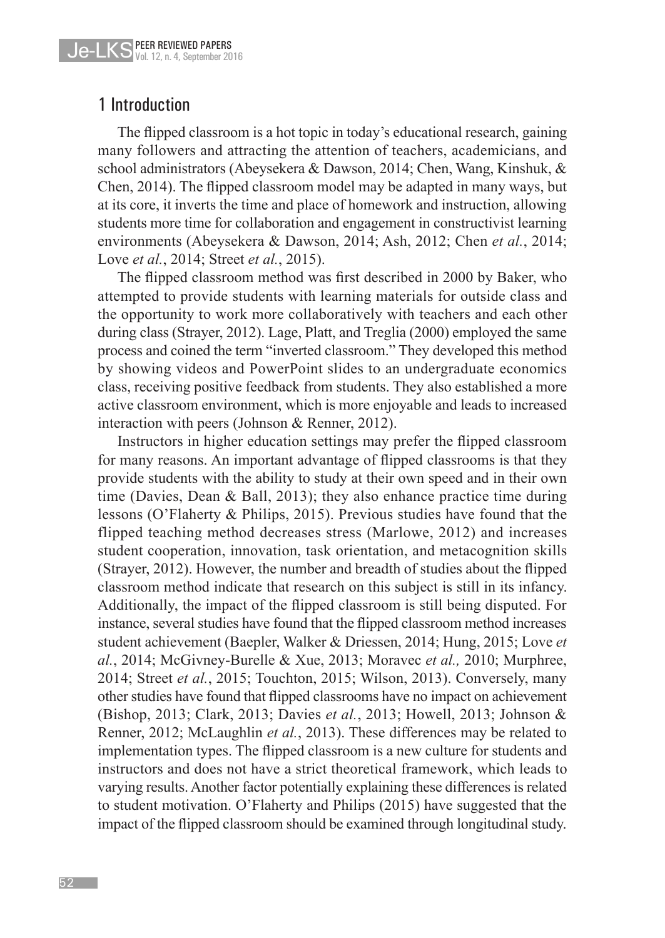#### 1 Introduction

The flipped classroom is a hot topic in today's educational research, gaining many followers and attracting the attention of teachers, academicians, and school administrators (Abeysekera & Dawson, 2014; Chen, Wang, Kinshuk, & Chen, 2014). The flipped classroom model may be adapted in many ways, but at its core, it inverts the time and place of homework and instruction, allowing students more time for collaboration and engagement in constructivist learning environments (Abeysekera & Dawson, 2014; Ash, 2012; Chen *et al.*, 2014; Love *et al.*, 2014; Street *et al.*, 2015).

The flipped classroom method was first described in 2000 by Baker, who attempted to provide students with learning materials for outside class and the opportunity to work more collaboratively with teachers and each other during class (Strayer, 2012). Lage, Platt, and Treglia (2000) employed the same process and coined the term "inverted classroom." They developed this method by showing videos and PowerPoint slides to an undergraduate economics class, receiving positive feedback from students. They also established a more active classroom environment, which is more enjoyable and leads to increased interaction with peers (Johnson & Renner, 2012).

Instructors in higher education settings may prefer the flipped classroom for many reasons. An important advantage of flipped classrooms is that they provide students with the ability to study at their own speed and in their own time (Davies, Dean & Ball, 2013); they also enhance practice time during lessons (O'Flaherty & Philips, 2015). Previous studies have found that the flipped teaching method decreases stress (Marlowe, 2012) and increases student cooperation, innovation, task orientation, and metacognition skills (Strayer, 2012). However, the number and breadth of studies about the flipped classroom method indicate that research on this subject is still in its infancy. Additionally, the impact of the flipped classroom is still being disputed. For instance, several studies have found that the flipped classroom method increases student achievement (Baepler, Walker & Driessen, 2014; Hung, 2015; Love *et al.*, 2014; McGivney-Burelle & Xue, 2013; Moravec *et al.,* 2010; Murphree, 2014; Street *et al.*, 2015; Touchton, 2015; Wilson, 2013). Conversely, many other studies have found that flipped classrooms have no impact on achievement (Bishop, 2013; Clark, 2013; Davies *et al.*, 2013; Howell, 2013; Johnson & Renner, 2012; McLaughlin *et al.*, 2013). These differences may be related to implementation types. The flipped classroom is a new culture for students and instructors and does not have a strict theoretical framework, which leads to varying results. Another factor potentially explaining these differences is related to student motivation. O'Flaherty and Philips (2015) have suggested that the impact of the flipped classroom should be examined through longitudinal study.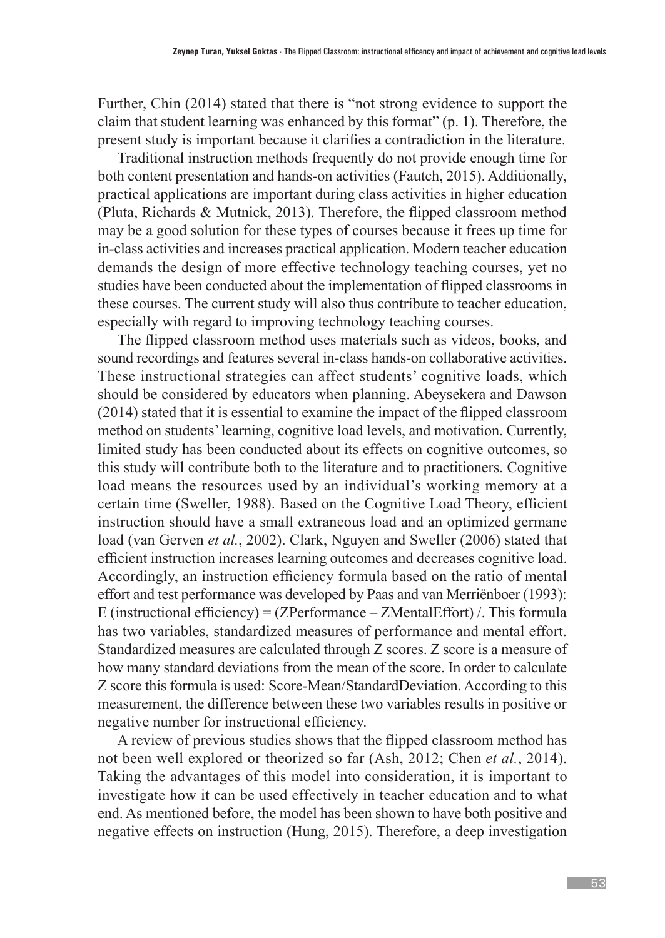Further, Chin (2014) stated that there is "not strong evidence to support the claim that student learning was enhanced by this format" (p. 1). Therefore, the present study is important because it clarifies a contradiction in the literature.

Traditional instruction methods frequently do not provide enough time for both content presentation and hands-on activities (Fautch, 2015). Additionally, practical applications are important during class activities in higher education (Pluta, Richards & Mutnick, 2013). Therefore, the flipped classroom method may be a good solution for these types of courses because it frees up time for in-class activities and increases practical application. Modern teacher education demands the design of more effective technology teaching courses, yet no studies have been conducted about the implementation of flipped classrooms in these courses. The current study will also thus contribute to teacher education, especially with regard to improving technology teaching courses.

The flipped classroom method uses materials such as videos, books, and sound recordings and features several in-class hands-on collaborative activities. These instructional strategies can affect students' cognitive loads, which should be considered by educators when planning. Abeysekera and Dawson (2014) stated that it is essential to examine the impact of the flipped classroom method on students' learning, cognitive load levels, and motivation. Currently, limited study has been conducted about its effects on cognitive outcomes, so this study will contribute both to the literature and to practitioners. Cognitive load means the resources used by an individual's working memory at a certain time (Sweller, 1988). Based on the Cognitive Load Theory, efficient instruction should have a small extraneous load and an optimized germane load (van Gerven *et al.*, 2002). Clark, Nguyen and Sweller (2006) stated that efficient instruction increases learning outcomes and decreases cognitive load. Accordingly, an instruction efficiency formula based on the ratio of mental effort and test performance was developed by Paas and van Merriënboer (1993): E (instructional efficiency) = (ZPerformance – ZMentalEffort) /. This formula has two variables, standardized measures of performance and mental effort. Standardized measures are calculated through Z scores. Z score is a measure of how many standard deviations from the mean of the score. In order to calculate Z score this formula is used: Score-Mean/StandardDeviation. According to this measurement, the difference between these two variables results in positive or negative number for instructional efficiency.

A review of previous studies shows that the flipped classroom method has not been well explored or theorized so far (Ash, 2012; Chen *et al.*, 2014). Taking the advantages of this model into consideration, it is important to investigate how it can be used effectively in teacher education and to what end. As mentioned before, the model has been shown to have both positive and negative effects on instruction (Hung, 2015). Therefore, a deep investigation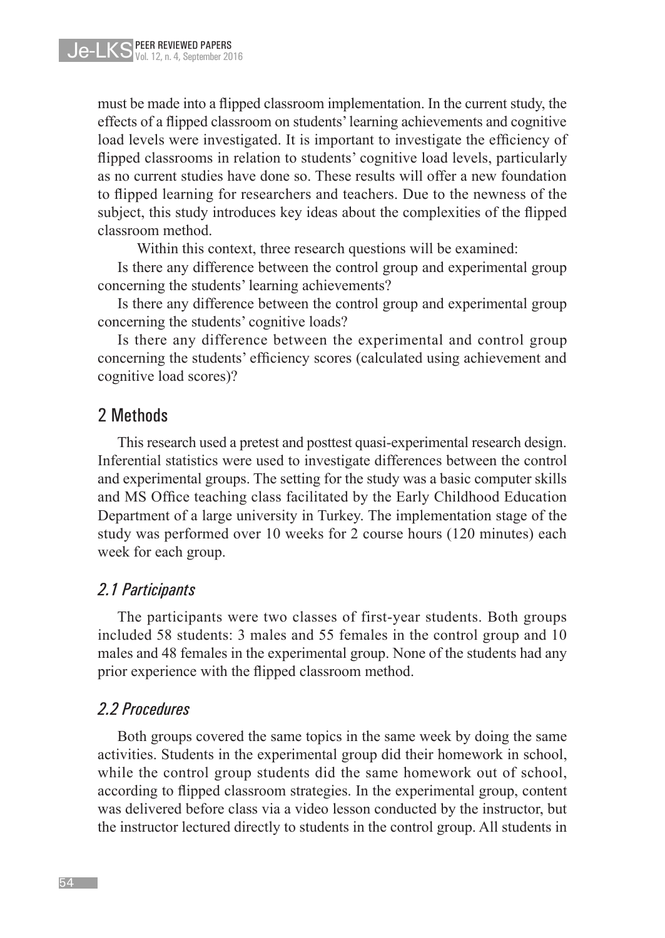must be made into a flipped classroom implementation. In the current study, the effects of a flipped classroom on students' learning achievements and cognitive load levels were investigated. It is important to investigate the efficiency of flipped classrooms in relation to students' cognitive load levels, particularly as no current studies have done so. These results will offer a new foundation to flipped learning for researchers and teachers. Due to the newness of the subject, this study introduces key ideas about the complexities of the flipped classroom method.

Within this context, three research questions will be examined:

Is there any difference between the control group and experimental group concerning the students' learning achievements?

Is there any difference between the control group and experimental group concerning the students' cognitive loads?

Is there any difference between the experimental and control group concerning the students' efficiency scores (calculated using achievement and cognitive load scores)?

#### 2 Methods

This research used a pretest and posttest quasi-experimental research design. Inferential statistics were used to investigate differences between the control and experimental groups. The setting for the study was a basic computer skills and MS Office teaching class facilitated by the Early Childhood Education Department of a large university in Turkey. The implementation stage of the study was performed over 10 weeks for 2 course hours (120 minutes) each week for each group.

#### *2.1 Participants*

The participants were two classes of first-year students. Both groups included 58 students: 3 males and 55 females in the control group and 10 males and 48 females in the experimental group. None of the students had any prior experience with the flipped classroom method.

#### *2.2 Procedures*

Both groups covered the same topics in the same week by doing the same activities. Students in the experimental group did their homework in school, while the control group students did the same homework out of school, according to flipped classroom strategies. In the experimental group, content was delivered before class via a video lesson conducted by the instructor, but the instructor lectured directly to students in the control group. All students in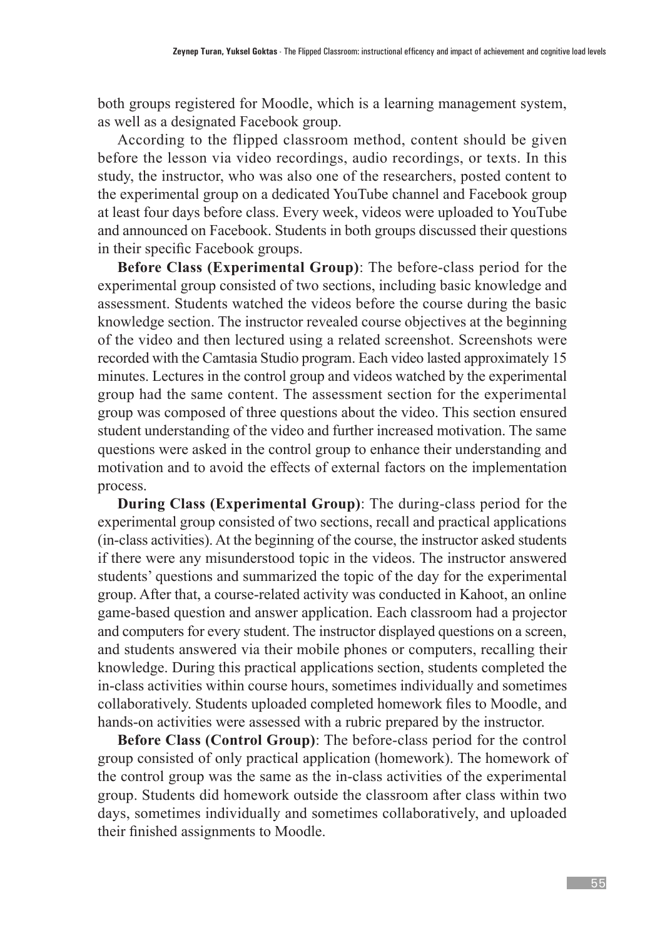both groups registered for Moodle, which is a learning management system, as well as a designated Facebook group.

According to the flipped classroom method, content should be given before the lesson via video recordings, audio recordings, or texts. In this study, the instructor, who was also one of the researchers, posted content to the experimental group on a dedicated YouTube channel and Facebook group at least four days before class. Every week, videos were uploaded to YouTube and announced on Facebook. Students in both groups discussed their questions in their specific Facebook groups.

**Before Class (Experimental Group)**: The before-class period for the experimental group consisted of two sections, including basic knowledge and assessment. Students watched the videos before the course during the basic knowledge section. The instructor revealed course objectives at the beginning of the video and then lectured using a related screenshot. Screenshots were recorded with the Camtasia Studio program. Each video lasted approximately 15 minutes. Lectures in the control group and videos watched by the experimental group had the same content. The assessment section for the experimental group was composed of three questions about the video. This section ensured student understanding of the video and further increased motivation. The same questions were asked in the control group to enhance their understanding and motivation and to avoid the effects of external factors on the implementation process.

**During Class (Experimental Group)**: The during-class period for the experimental group consisted of two sections, recall and practical applications (in-class activities). At the beginning of the course, the instructor asked students if there were any misunderstood topic in the videos. The instructor answered students' questions and summarized the topic of the day for the experimental group. After that, a course-related activity was conducted in Kahoot, an online game-based question and answer application. Each classroom had a projector and computers for every student. The instructor displayed questions on a screen, and students answered via their mobile phones or computers, recalling their knowledge. During this practical applications section, students completed the in-class activities within course hours, sometimes individually and sometimes collaboratively. Students uploaded completed homework files to Moodle, and hands-on activities were assessed with a rubric prepared by the instructor.

**Before Class (Control Group)**: The before-class period for the control group consisted of only practical application (homework). The homework of the control group was the same as the in-class activities of the experimental group. Students did homework outside the classroom after class within two days, sometimes individually and sometimes collaboratively, and uploaded their finished assignments to Moodle.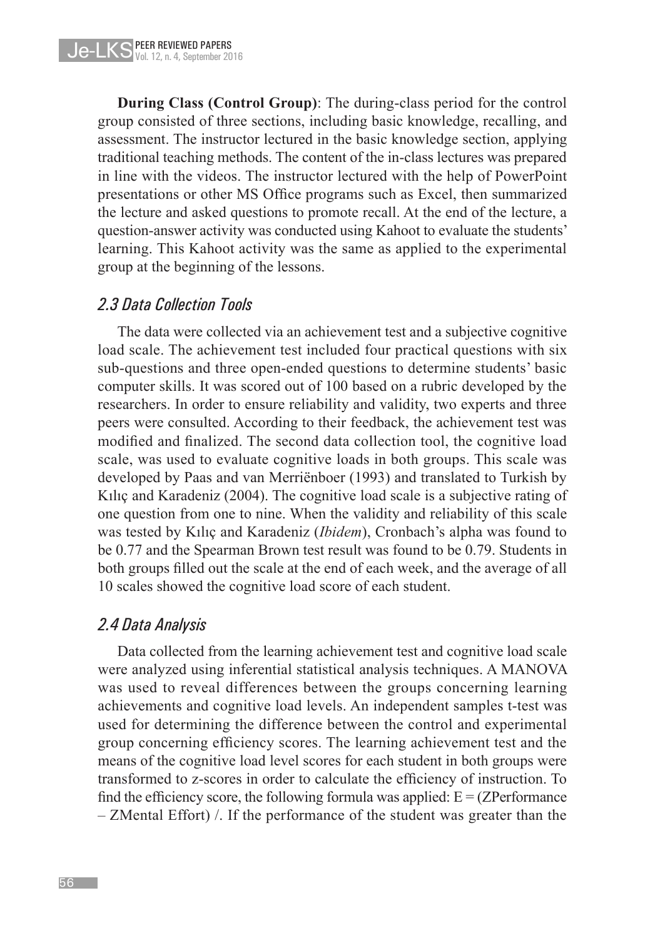**During Class (Control Group)**: The during-class period for the control group consisted of three sections, including basic knowledge, recalling, and assessment. The instructor lectured in the basic knowledge section, applying traditional teaching methods. The content of the in-class lectures was prepared in line with the videos. The instructor lectured with the help of PowerPoint presentations or other MS Office programs such as Excel, then summarized the lecture and asked questions to promote recall. At the end of the lecture, a question-answer activity was conducted using Kahoot to evaluate the students' learning. This Kahoot activity was the same as applied to the experimental group at the beginning of the lessons.

#### *2.3 Data Collection Tools*

The data were collected via an achievement test and a subjective cognitive load scale. The achievement test included four practical questions with six sub-questions and three open-ended questions to determine students' basic computer skills. It was scored out of 100 based on a rubric developed by the researchers. In order to ensure reliability and validity, two experts and three peers were consulted. According to their feedback, the achievement test was modified and finalized. The second data collection tool, the cognitive load scale, was used to evaluate cognitive loads in both groups. This scale was developed by Paas and van Merriënboer (1993) and translated to Turkish by Kılıç and Karadeniz (2004). The cognitive load scale is a subjective rating of one question from one to nine. When the validity and reliability of this scale was tested by Kılıç and Karadeniz (*Ibidem*), Cronbach's alpha was found to be 0.77 and the Spearman Brown test result was found to be 0.79. Students in both groups filled out the scale at the end of each week, and the average of all 10 scales showed the cognitive load score of each student.

#### *2.4 Data Analysis*

Data collected from the learning achievement test and cognitive load scale were analyzed using inferential statistical analysis techniques. A MANOVA was used to reveal differences between the groups concerning learning achievements and cognitive load levels. An independent samples t-test was used for determining the difference between the control and experimental group concerning efficiency scores. The learning achievement test and the means of the cognitive load level scores for each student in both groups were transformed to z-scores in order to calculate the efficiency of instruction. To find the efficiency score, the following formula was applied:  $E = (ZPerformance)$ – ZMental Effort) /. If the performance of the student was greater than the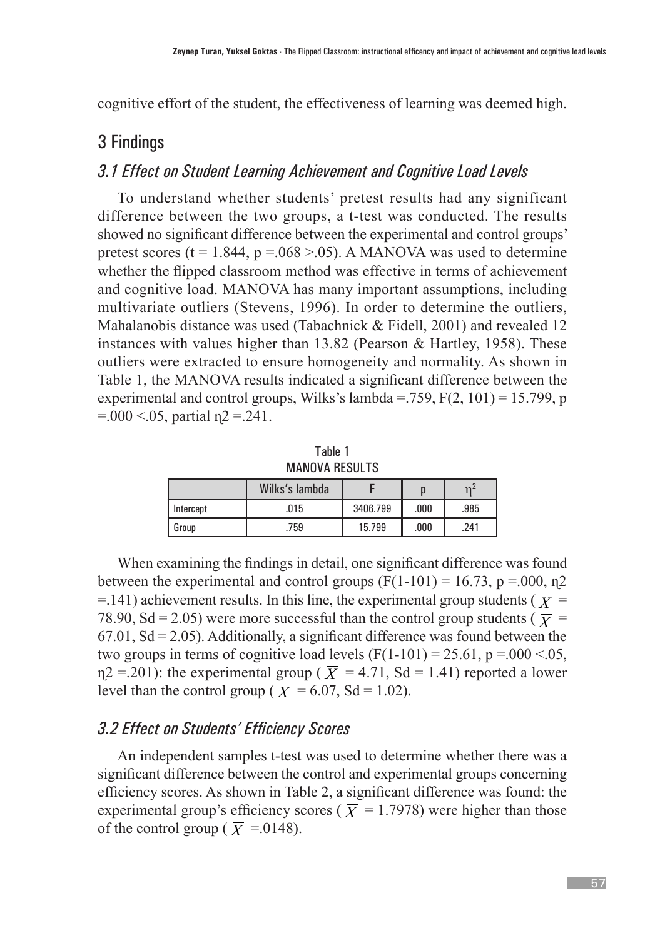cognitive effort of the student, the effectiveness of learning was deemed high.

### 3 Findings

#### *3.1 Effect on Student Learning Achievement and Cognitive Load Levels*

To understand whether students' pretest results had any significant difference between the two groups, a t-test was conducted. The results showed no significant difference between the experimental and control groups' pretest scores (t = 1.844, p =  $.068 > .05$ ). A MANOVA was used to determine whether the flipped classroom method was effective in terms of achievement and cognitive load. MANOVA has many important assumptions, including multivariate outliers (Stevens, 1996). In order to determine the outliers, Mahalanobis distance was used (Tabachnick & Fidell, 2001) and revealed 12 instances with values higher than 13.82 (Pearson & Hartley, 1958). These outliers were extracted to ensure homogeneity and normality. As shown in Table 1, the MANOVA results indicated a significant difference between the experimental and control groups, Wilks's lambda =  $.759$ , F(2, 101) = 15.799, p  $= 0.00 \le 0.05$ , partial  $\eta$ 2 = 241.

Table 1 MANOVA RESULTS

|           | Wilks's lambda |          |      | $\mathbf{v}$ |
|-----------|----------------|----------|------|--------------|
| Intercept | .015           | 3406.799 | .000 | .985         |
| l Group   | .759           | 15.799   | .000 | .241         |

When examining the findings in detail, one significant difference was found between the experimental and control groups  $(F(1-101) = 16.73, p = .000, n2$  $=$  141) achievement results. In this line, the experimental group students ( $\bar{X}$  = 78.90, Sd = 2.05) were more successful than the control group students ( $\bar{X}$  =  $67.01$ ,  $Sd = 2.05$ ). Additionally, a significant difference was found between the two groups in terms of cognitive load levels  $(F(1-101) = 25.61, p = .000 < .05,$  $\eta$ 2 = .201): the experimental group ( $\overline{X}$  = 4.71, Sd = 1.41) reported a lower level than the control group ( $\overline{X}$  = 6.07, Sd = 1.02).

#### *3.2 Effect on Students' Efficiency Scores*

An independent samples t-test was used to determine whether there was a significant difference between the control and experimental groups concerning efficiency scores. As shown in Table 2, a significant difference was found: the experimental group's efficiency scores ( $\overline{X}$  = 1.7978) were higher than those of the control group ( $\overline{X}$  =.0148).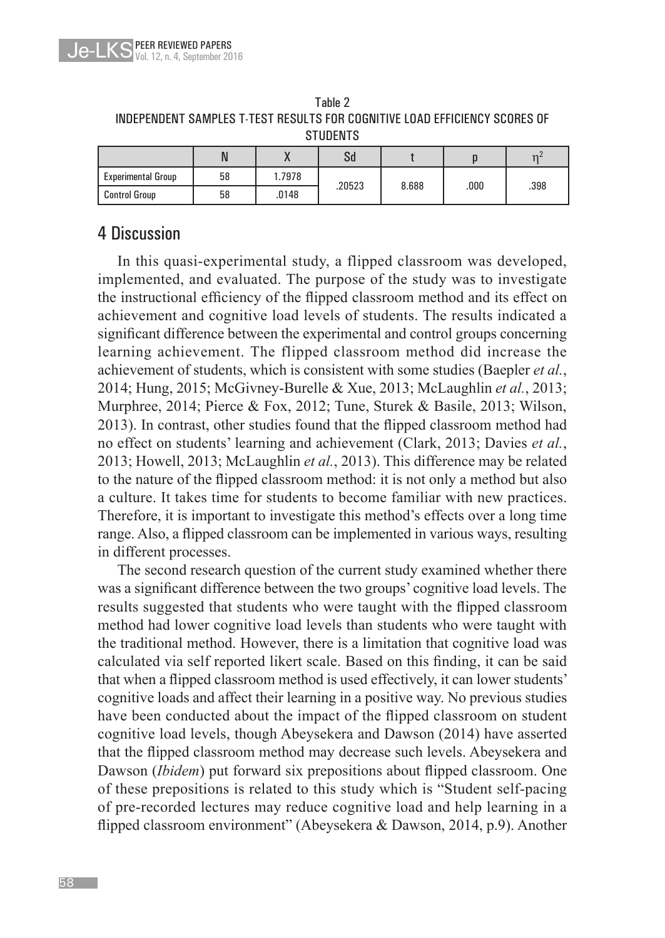

| Tahle 2                                                                    |
|----------------------------------------------------------------------------|
| INDEPENDENT SAMPLES T-TEST RESULTS FOR COGNITIVE LOAD EFFICIENCY SCORES OF |
| <b>STUDENTS</b>                                                            |

|                           | N  |        | Sd     |       |       | n <sup>2</sup> |
|---------------------------|----|--------|--------|-------|-------|----------------|
| <b>Experimental Group</b> | 58 | 1.7978 | .20523 | 8.688 | .000. | .398           |
| <b>Control Group</b>      | 58 | .0148  |        |       |       |                |

## 4 Discussion

In this quasi-experimental study, a flipped classroom was developed, implemented, and evaluated. The purpose of the study was to investigate the instructional efficiency of the flipped classroom method and its effect on achievement and cognitive load levels of students. The results indicated a significant difference between the experimental and control groups concerning learning achievement. The flipped classroom method did increase the achievement of students, which is consistent with some studies (Baepler *et al.*, 2014; Hung, 2015; McGivney-Burelle & Xue, 2013; McLaughlin *et al.*, 2013; Murphree, 2014; Pierce & Fox, 2012; Tune, Sturek & Basile, 2013; Wilson, 2013). In contrast, other studies found that the flipped classroom method had no effect on students' learning and achievement (Clark, 2013; Davies *et al.*, 2013; Howell, 2013; McLaughlin *et al.*, 2013). This difference may be related to the nature of the flipped classroom method: it is not only a method but also a culture. It takes time for students to become familiar with new practices. Therefore, it is important to investigate this method's effects over a long time range. Also, a flipped classroom can be implemented in various ways, resulting in different processes.

The second research question of the current study examined whether there was a significant difference between the two groups' cognitive load levels. The results suggested that students who were taught with the flipped classroom method had lower cognitive load levels than students who were taught with the traditional method. However, there is a limitation that cognitive load was calculated via self reported likert scale. Based on this finding, it can be said that when a flipped classroom method is used effectively, it can lower students' cognitive loads and affect their learning in a positive way. No previous studies have been conducted about the impact of the flipped classroom on student cognitive load levels, though Abeysekera and Dawson (2014) have asserted that the flipped classroom method may decrease such levels. Abeysekera and Dawson (*Ibidem*) put forward six prepositions about flipped classroom. One of these prepositions is related to this study which is "Student self-pacing of pre-recorded lectures may reduce cognitive load and help learning in a flipped classroom environment" (Abeysekera & Dawson, 2014, p.9). Another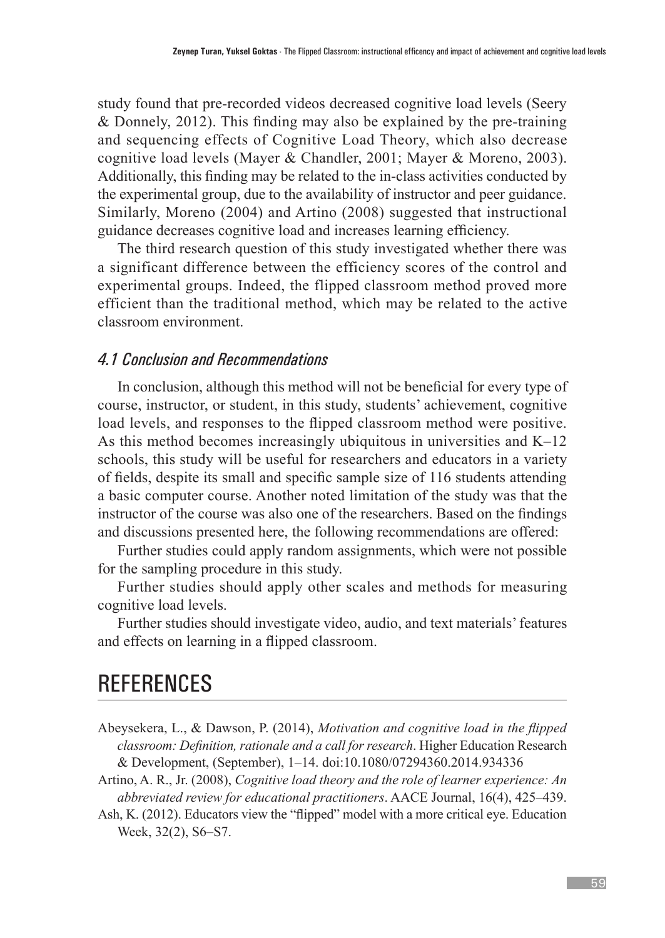study found that pre-recorded videos decreased cognitive load levels (Seery & Donnely, 2012). This finding may also be explained by the pre-training and sequencing effects of Cognitive Load Theory, which also decrease cognitive load levels (Mayer & Chandler, 2001; Mayer & Moreno, 2003). Additionally, this finding may be related to the in-class activities conducted by the experimental group, due to the availability of instructor and peer guidance. Similarly, Moreno (2004) and Artino (2008) suggested that instructional guidance decreases cognitive load and increases learning efficiency.

The third research question of this study investigated whether there was a significant difference between the efficiency scores of the control and experimental groups. Indeed, the flipped classroom method proved more efficient than the traditional method, which may be related to the active classroom environment.

#### *4.1 Conclusion and Recommendations*

In conclusion, although this method will not be beneficial for every type of course, instructor, or student, in this study, students' achievement, cognitive load levels, and responses to the flipped classroom method were positive. As this method becomes increasingly ubiquitous in universities and K–12 schools, this study will be useful for researchers and educators in a variety of fields, despite its small and specific sample size of 116 students attending a basic computer course. Another noted limitation of the study was that the instructor of the course was also one of the researchers. Based on the findings and discussions presented here, the following recommendations are offered:

Further studies could apply random assignments, which were not possible for the sampling procedure in this study.

Further studies should apply other scales and methods for measuring cognitive load levels.

Further studies should investigate video, audio, and text materials' features and effects on learning in a flipped classroom.

# **REFERENCES**

- Abeysekera, L., & Dawson, P. (2014), *Motivation and cognitive load in the flipped classroom: Definition, rationale and a call for research*. Higher Education Research & Development, (September), 1–14. doi:10.1080/07294360.2014.934336
- Artino, A. R., Jr. (2008), *Cognitive load theory and the role of learner experience: An abbreviated review for educational practitioners*. AACE Journal, 16(4), 425–439.
- Ash, K. (2012). Educators view the "flipped" model with a more critical eye. Education Week, 32(2), S6–S7.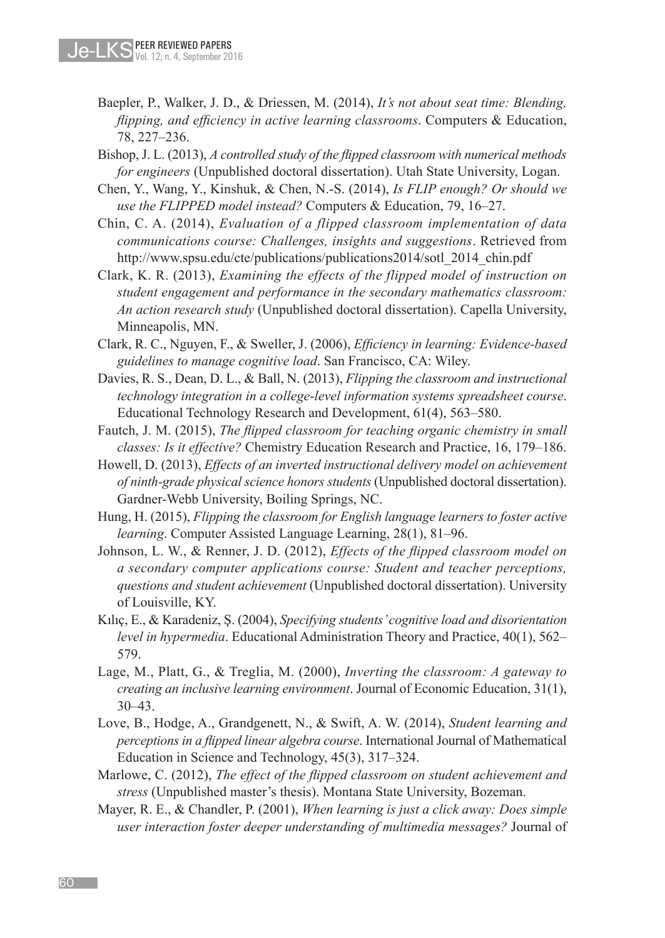- Baepler, P., Walker, J. D., & Driessen, M. (2014), *It's not about seat time: Blending, flipping, and efficiency in active learning classrooms*. Computers & Education, 78, 227–236.
- Bishop, J. L. (2013), *A controlled study of the flipped classroom with numerical methods for engineers* (Unpublished doctoral dissertation). Utah State University, Logan.
- Chen, Y., Wang, Y., Kinshuk, & Chen, N.-S. (2014), *Is FLIP enough? Or should we use the FLIPPED model instead?* Computers & Education, 79, 16–27.
- Chin, C. A. (2014), *Evaluation of a flipped classroom implementation of data communications course: Challenges, insights and suggestions*. Retrieved from http://www.spsu.edu/cte/publications/publications2014/sotl\_2014\_chin.pdf
- Clark, K. R. (2013), *Examining the effects of the flipped model of instruction on student engagement and performance in the secondary mathematics classroom: An action research study* (Unpublished doctoral dissertation). Capella University, Minneapolis, MN.
- Clark, R. C., Nguyen, F., & Sweller, J. (2006), *Efficiency in learning: Evidence-based guidelines to manage cognitive load*. San Francisco, CA: Wiley.
- Davies, R. S., Dean, D. L., & Ball, N. (2013), *Flipping the classroom and instructional technology integration in a college-level information systems spreadsheet course*. Educational Technology Research and Development, 61(4), 563–580.
- Fautch, J. M. (2015), *The flipped classroom for teaching organic chemistry in small classes: Is it effective?* Chemistry Education Research and Practice, 16, 179–186.
- Howell, D. (2013), *Effects of an inverted instructional delivery model on achievement of ninth-grade physical science honors students* (Unpublished doctoral dissertation). Gardner-Webb University, Boiling Springs, NC.
- Hung, H. (2015), *Flipping the classroom for English language learners to foster active learning*. Computer Assisted Language Learning, 28(1), 81–96.
- Johnson, L. W., & Renner, J. D. (2012), *Effects of the flipped classroom model on a secondary computer applications course: Student and teacher perceptions, questions and student achievement* (Unpublished doctoral dissertation). University of Louisville, KY.
- Kılıç, E., & Karadeniz, Ş. (2004), *Specifying students' cognitive load and disorientation level in hypermedia*. Educational Administration Theory and Practice, 40(1), 562– 579.
- Lage, M., Platt, G., & Treglia, M. (2000), *Inverting the classroom: A gateway to creating an inclusive learning environment*. Journal of Economic Education, 31(1), 30–43.
- Love, B., Hodge, A., Grandgenett, N., & Swift, A. W. (2014), *Student learning and perceptions in a flipped linear algebra course*. International Journal of Mathematical Education in Science and Technology, 45(3), 317–324.
- Marlowe, C. (2012), *The effect of the flipped classroom on student achievement and stress* (Unpublished master's thesis). Montana State University, Bozeman.
- Mayer, R. E., & Chandler, P. (2001), *When learning is just a click away: Does simple user interaction foster deeper understanding of multimedia messages?* Journal of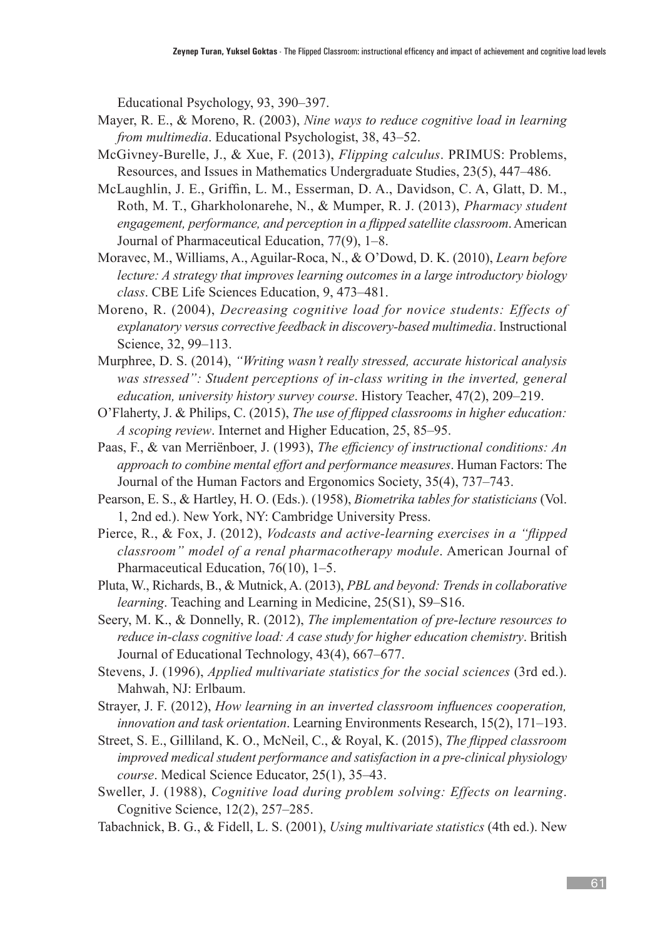Educational Psychology, 93, 390–397.

- Mayer, R. E., & Moreno, R. (2003), *Nine ways to reduce cognitive load in learning from multimedia*. Educational Psychologist, 38, 43–52.
- McGivney-Burelle, J., & Xue, F. (2013), *Flipping calculus*. PRIMUS: Problems, Resources, and Issues in Mathematics Undergraduate Studies, 23(5), 447–486.
- McLaughlin, J. E., Griffin, L. M., Esserman, D. A., Davidson, C. A, Glatt, D. M., Roth, M. T., Gharkholonarehe, N., & Mumper, R. J. (2013), *Pharmacy student engagement, performance, and perception in a flipped satellite classroom*. American Journal of Pharmaceutical Education, 77(9), 1–8.
- Moravec, M., Williams, A., Aguilar-Roca, N., & O'Dowd, D. K. (2010), *Learn before lecture: A strategy that improves learning outcomes in a large introductory biology class*. CBE Life Sciences Education, 9, 473–481.
- Moreno, R. (2004), *Decreasing cognitive load for novice students: Effects of explanatory versus corrective feedback in discovery-based multimedia*. Instructional Science, 32, 99–113.
- Murphree, D. S. (2014), *"Writing wasn't really stressed, accurate historical analysis*  was stressed": Student perceptions of in-class writing in the inverted, general *education, university history survey course*. History Teacher, 47(2), 209–219.
- O'Flaherty, J. & Philips, C. (2015), *The use of flipped classrooms in higher education: A scoping review*. Internet and Higher Education, 25, 85–95.
- Paas, F., & van Merriënboer, J. (1993), *The efficiency of instructional conditions: An approach to combine mental effort and performance measures*. Human Factors: The Journal of the Human Factors and Ergonomics Society, 35(4), 737–743.
- Pearson, E. S., & Hartley, H. O. (Eds.). (1958), *Biometrika tables for statisticians* (Vol. 1, 2nd ed.). New York, NY: Cambridge University Press.
- Pierce, R., & Fox, J. (2012), *Vodcasts and active-learning exercises in a "flipped classroom" model of a renal pharmacotherapy module*. American Journal of Pharmaceutical Education, 76(10), 1–5.
- Pluta, W., Richards, B., & Mutnick, A. (2013), *PBL and beyond: Trends in collaborative learning*. Teaching and Learning in Medicine, 25(S1), S9–S16.
- Seery, M. K., & Donnelly, R. (2012), *The implementation of pre-lecture resources to reduce in-class cognitive load: A case study for higher education chemistry*. British Journal of Educational Technology, 43(4), 667–677.
- Stevens, J. (1996), *Applied multivariate statistics for the social sciences* (3rd ed.). Mahwah, NJ: Erlbaum.
- Strayer, J. F. (2012), *How learning in an inverted classroom influences cooperation, innovation and task orientation*. Learning Environments Research, 15(2), 171–193.
- Street, S. E., Gilliland, K. O., McNeil, C., & Royal, K. (2015), *The flipped classroom improved medical student performance and satisfaction in a pre-clinical physiology course*. Medical Science Educator, 25(1), 35–43.
- Sweller, J. (1988), *Cognitive load during problem solving: Effects on learning*. Cognitive Science, 12(2), 257–285.
- Tabachnick, B. G., & Fidell, L. S. (2001), *Using multivariate statistics* (4th ed.). New